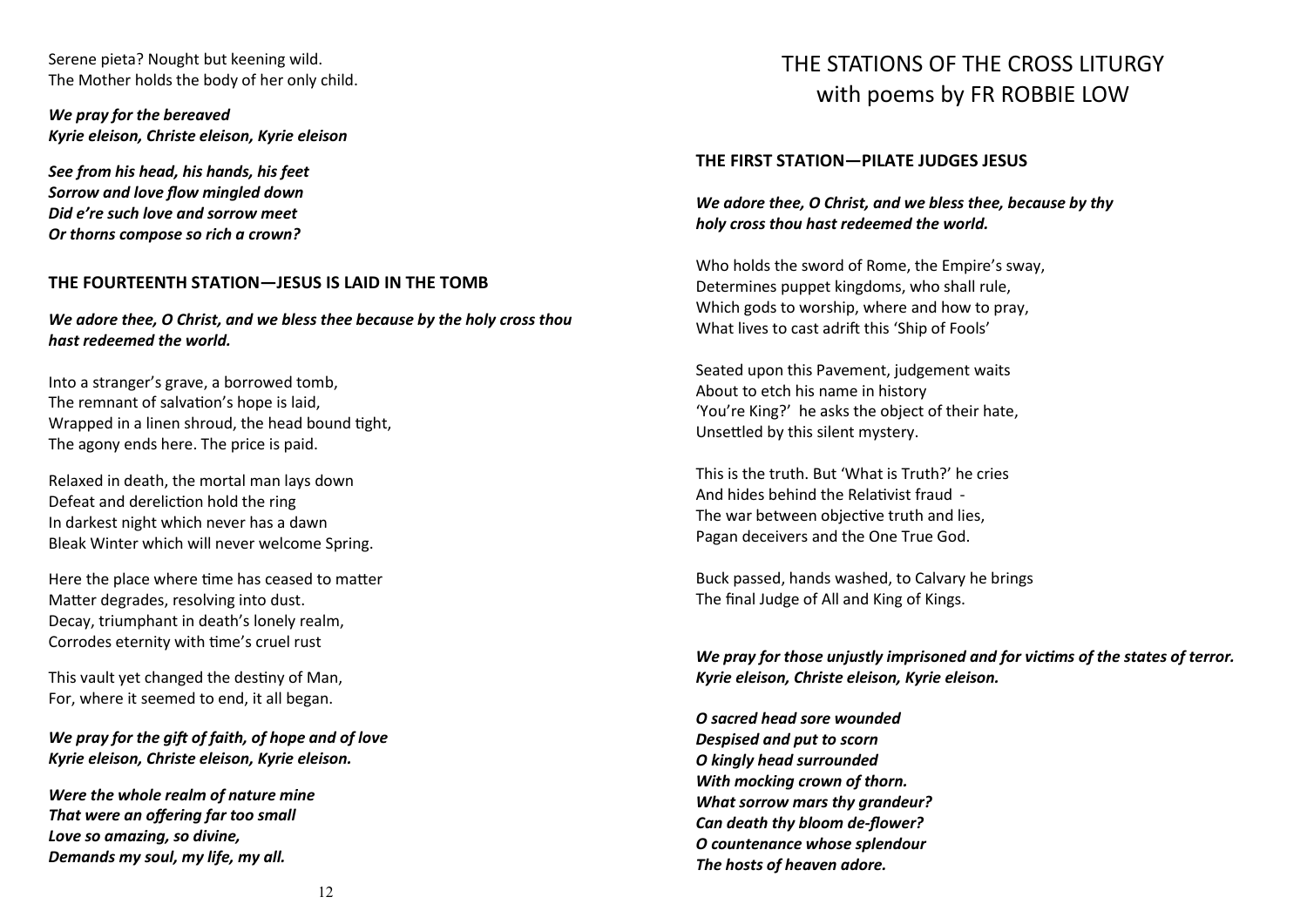Serene pieta? Nought but keening wild. The Mother holds the body of her only child.

*We pray for the bereaved Kyrie eleison, Christe eleison, Kyrie eleison*

*See from his head, his hands, his feet Sorrow and love flow mingled down Did e're such love and sorrow meet Or thorns compose so rich a crown?*

#### **THE FOURTEENTH STATION—JESUS IS LAID IN THE TOMB**

*We adore thee, O Christ, and we bless thee because by the holy cross thou hast redeemed the world.*

Into a stranger's grave, a borrowed tomb, The remnant of salvation's hope is laid, Wrapped in a linen shroud, the head bound tight, The agony ends here. The price is paid.

Relaxed in death, the mortal man lays down Defeat and dereliction hold the ring In darkest night which never has a dawn Bleak Winter which will never welcome Spring.

Here the place where time has ceased to matter Matter degrades, resolving into dust. Decay, triumphant in death's lonely realm, Corrodes eternity with time's cruel rust

This vault yet changed the destiny of Man, For, where it seemed to end, it all began.

*We pray for the gift of faith, of hope and of love Kyrie eleison, Christe eleison, Kyrie eleison.*

*Were the whole realm of nature mine That were an offering far too small Love so amazing, so divine, Demands my soul, my life, my all.*

# THE STATIONS OF THE CROSS LITURGY with poems by FR ROBBIE LOW

#### **THE FIRST STATION—PILATE JUDGES JESUS**

## *We adore thee, O Christ, and we bless thee, because by thy holy cross thou hast redeemed the world.*

Who holds the sword of Rome, the Empire's sway, Determines puppet kingdoms, who shall rule, Which gods to worship, where and how to pray, What lives to cast adrift this 'Ship of Fools'

Seated upon this Pavement, judgement waits About to etch his name in history 'You're King?' he asks the object of their hate, Unsettled by this silent mystery.

This is the truth. But 'What is Truth?' he cries And hides behind the Relativist fraud - The war between objective truth and lies, Pagan deceivers and the One True God.

Buck passed, hands washed, to Calvary he brings The final Judge of All and King of Kings.

*We pray for those unjustly imprisoned and for victims of the states of terror. Kyrie eleison, Christe eleison, Kyrie eleison.*

*O sacred head sore wounded Despised and put to scorn O kingly head surrounded With mocking crown of thorn. What sorrow mars thy grandeur? Can death thy bloom de-flower? O countenance whose splendour The hosts of heaven adore.*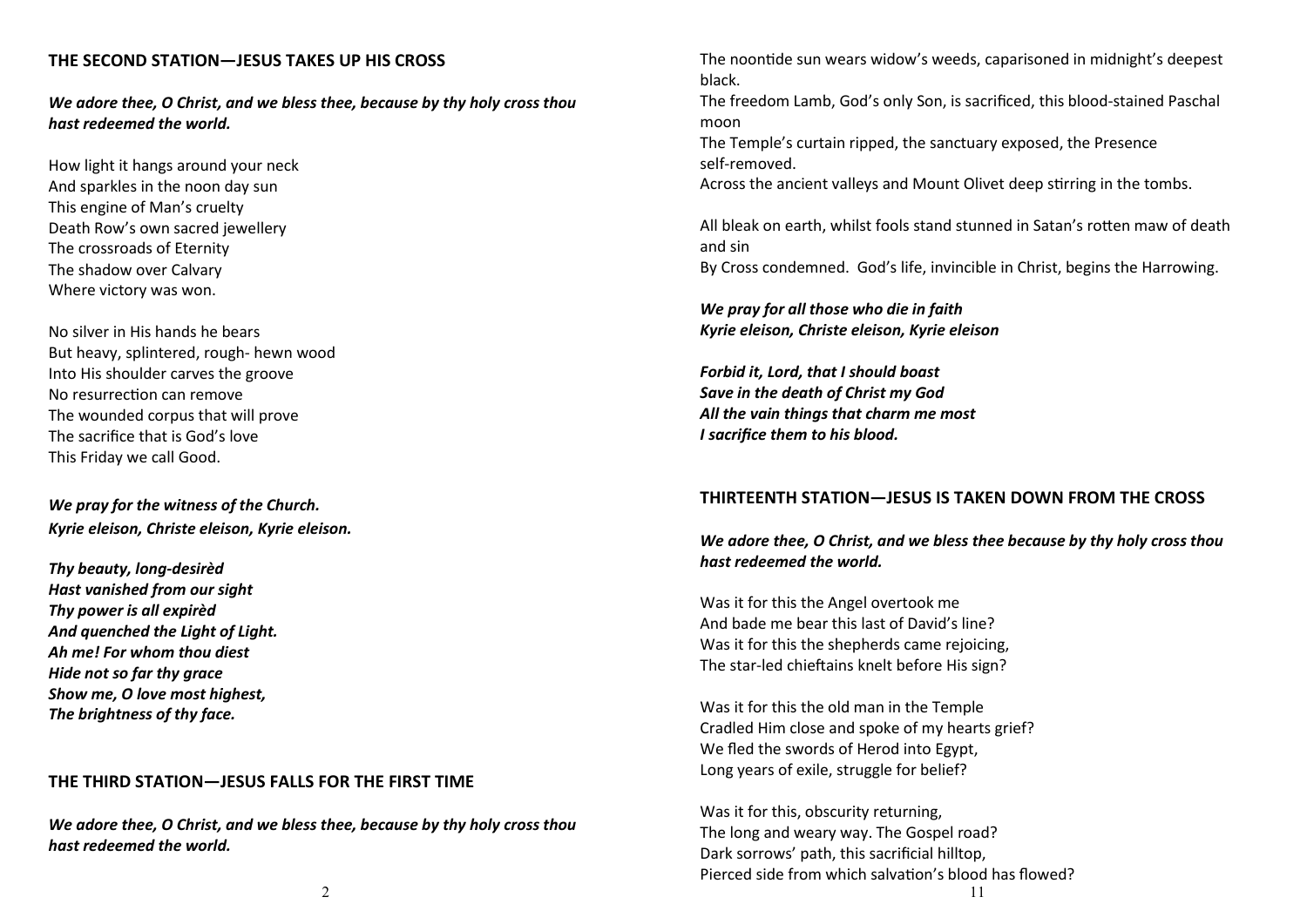## **THE SECOND STATION—JESUS TAKES UP HIS CROSS**

*We adore thee, O Christ, and we bless thee, because by thy holy cross thou hast redeemed the world.*

How light it hangs around your neck And sparkles in the noon day sun This engine of Man's cruelty Death Row's own sacred jewellery The crossroads of Eternity The shadow over Calvary Where victory was won.

No silver in His hands he bears But heavy, splintered, rough- hewn wood Into His shoulder carves the groove No resurrection can remove The wounded corpus that will prove The sacrifice that is God's love This Friday we call Good.

# *We pray for the witness of the Church. Kyrie eleison, Christe eleison, Kyrie eleison.*

*Thy beauty, long-desirèd Hast vanished from our sight Thy power is all expirèd And quenched the Light of Light. Ah me! For whom thou diest Hide not so far thy grace Show me, O love most highest, The brightness of thy face.*

## **THE THIRD STATION—JESUS FALLS FOR THE FIRST TIME**

*We adore thee, O Christ, and we bless thee, because by thy holy cross thou hast redeemed the world.*

The noontide sun wears widow's weeds, caparisoned in midnight's deepest black.

The freedom Lamb, God's only Son, is sacrificed, this blood-stained Paschal moon

The Temple's curtain ripped, the sanctuary exposed, the Presence self-removed.

Across the ancient valleys and Mount Olivet deep stirring in the tombs.

All bleak on earth, whilst fools stand stunned in Satan's rotten maw of death and sin

By Cross condemned. God's life, invincible in Christ, begins the Harrowing.

*We pray for all those who die in faith Kyrie eleison, Christe eleison, Kyrie eleison*

*Forbid it, Lord, that I should boast Save in the death of Christ my God All the vain things that charm me most I sacrifice them to his blood.*

#### **THIRTEENTH STATION—JESUS IS TAKEN DOWN FROM THE CROSS**

## *We adore thee, O Christ, and we bless thee because by thy holy cross thou hast redeemed the world.*

Was it for this the Angel overtook me And bade me bear this last of David's line? Was it for this the shepherds came rejoicing, The star-led chieftains knelt before His sign?

Was it for this the old man in the Temple Cradled Him close and spoke of my hearts grief? We fled the swords of Herod into Egypt, Long years of exile, struggle for belief?

Was it for this, obscurity returning, The long and weary way. The Gospel road? Dark sorrows' path, this sacrificial hilltop, Pierced side from which salvation's blood has flowed?

2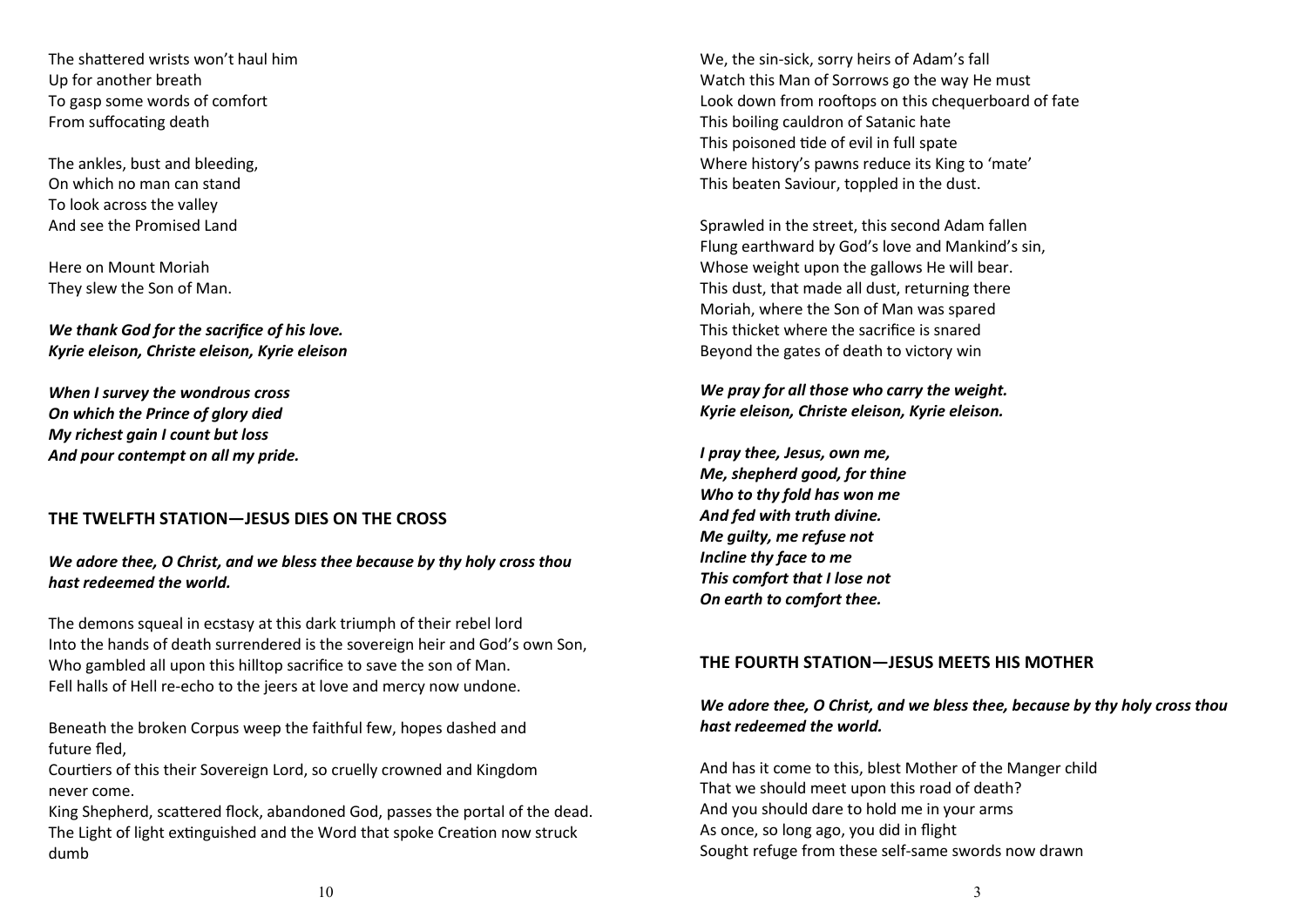The shattered wrists won't haul him Up for another breath To gasp some words of comfort From suffocating death

The ankles, bust and bleeding, On which no man can stand To look across the valley And see the Promised Land

Here on Mount Moriah They slew the Son of Man.

*We thank God for the sacrifice of his love. Kyrie eleison, Christe eleison, Kyrie eleison*

*When I survey the wondrous cross On which the Prince of glory died My richest gain I count but loss And pour contempt on all my pride.*

## **THE TWELFTH STATION—JESUS DIES ON THE CROSS**

*We adore thee, O Christ, and we bless thee because by thy holy cross thou hast redeemed the world.*

The demons squeal in ecstasy at this dark triumph of their rebel lord Into the hands of death surrendered is the sovereign heir and God's own Son, Who gambled all upon this hilltop sacrifice to save the son of Man. Fell halls of Hell re-echo to the jeers at love and mercy now undone.

Beneath the broken Corpus weep the faithful few, hopes dashed and future fled,

Courtiers of this their Sovereign Lord, so cruelly crowned and Kingdom never come.

King Shepherd, scattered flock, abandoned God, passes the portal of the dead. The Light of light extinguished and the Word that spoke Creation now struck dumb

We, the sin-sick, sorry heirs of Adam's fall Watch this Man of Sorrows go the way He must Look down from rooftops on this chequerboard of fate This boiling cauldron of Satanic hate This poisoned tide of evil in full spate Where history's pawns reduce its King to 'mate' This beaten Saviour, toppled in the dust.

Sprawled in the street, this second Adam fallen Flung earthward by God's love and Mankind's sin, Whose weight upon the gallows He will bear. This dust, that made all dust, returning there Moriah, where the Son of Man was spared This thicket where the sacrifice is snared Beyond the gates of death to victory win

## *We pray for all those who carry the weight. Kyrie eleison, Christe eleison, Kyrie eleison.*

*I pray thee, Jesus, own me, Me, shepherd good, for thine Who to thy fold has won me And fed with truth divine. Me guilty, me refuse not Incline thy face to me This comfort that I lose not On earth to comfort thee.*

## **THE FOURTH STATION—JESUS MEETS HIS MOTHER**

# *We adore thee, O Christ, and we bless thee, because by thy holy cross thou hast redeemed the world.*

And has it come to this, blest Mother of the Manger child That we should meet upon this road of death? And you should dare to hold me in your arms As once, so long ago, you did in flight Sought refuge from these self-same swords now drawn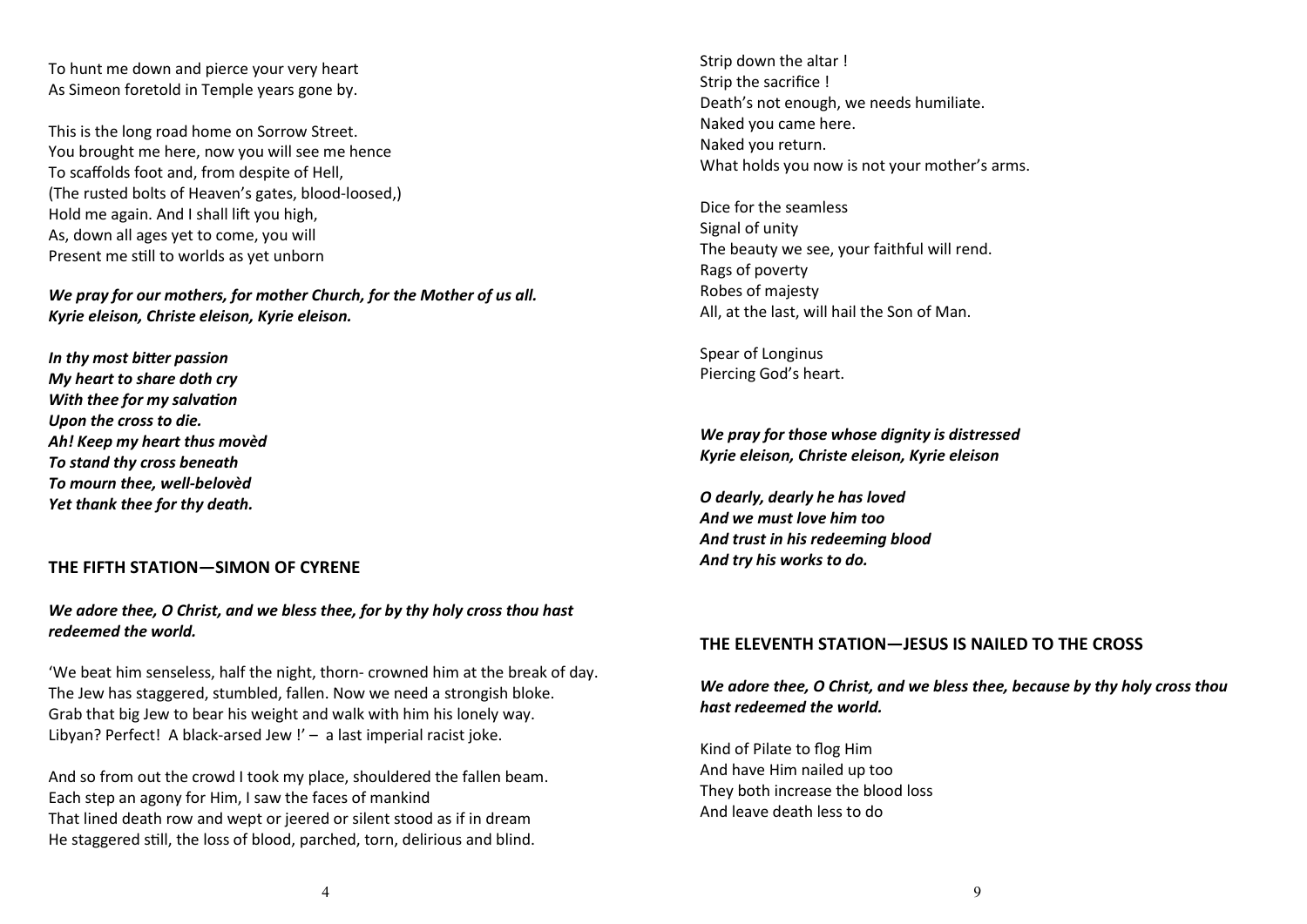To hunt me down and pierce your very heart As Simeon foretold in Temple years gone by.

This is the long road home on Sorrow Street. You brought me here, now you will see me hence To scaffolds foot and, from despite of Hell, (The rusted bolts of Heaven's gates, blood-loosed,) Hold me again. And I shall lift you high, As, down all ages yet to come, you will Present me still to worlds as yet unborn

*We pray for our mothers, for mother Church, for the Mother of us all. Kyrie eleison, Christe eleison, Kyrie eleison.*

*In thy most bitter passion My heart to share doth cry With thee for my salvation Upon the cross to die. Ah! Keep my heart thus movèd To stand thy cross beneath To mourn thee, well-belovèd Yet thank thee for thy death.*

#### **THE FIFTH STATION—SIMON OF CYRENE**

#### *We adore thee, O Christ, and we bless thee, for by thy holy cross thou hast redeemed the world.*

'We beat him senseless, half the night, thorn- crowned him at the break of day. The Jew has staggered, stumbled, fallen. Now we need a strongish bloke. Grab that big Jew to bear his weight and walk with him his lonely way. Libyan? Perfect! A black-arsed Jew !' - a last imperial racist joke.

And so from out the crowd I took my place, shouldered the fallen beam. Each step an agony for Him, I saw the faces of mankind That lined death row and wept or jeered or silent stood as if in dream He staggered still, the loss of blood, parched, torn, delirious and blind.

Strip down the altar ! Strip the sacrifice ! Death's not enough, we needs humiliate. Naked you came here. Naked you return. What holds you now is not your mother's arms.

Dice for the seamless Signal of unity The beauty we see, your faithful will rend. Rags of poverty Robes of majesty All, at the last, will hail the Son of Man.

Spear of Longinus Piercing God's heart.

*We pray for those whose dignity is distressed Kyrie eleison, Christe eleison, Kyrie eleison*

*O dearly, dearly he has loved And we must love him too And trust in his redeeming blood And try his works to do.*

#### **THE ELEVENTH STATION—JESUS IS NAILED TO THE CROSS**

## *We adore thee, O Christ, and we bless thee, because by thy holy cross thou hast redeemed the world.*

Kind of Pilate to flog Him And have Him nailed up too They both increase the blood loss And leave death less to do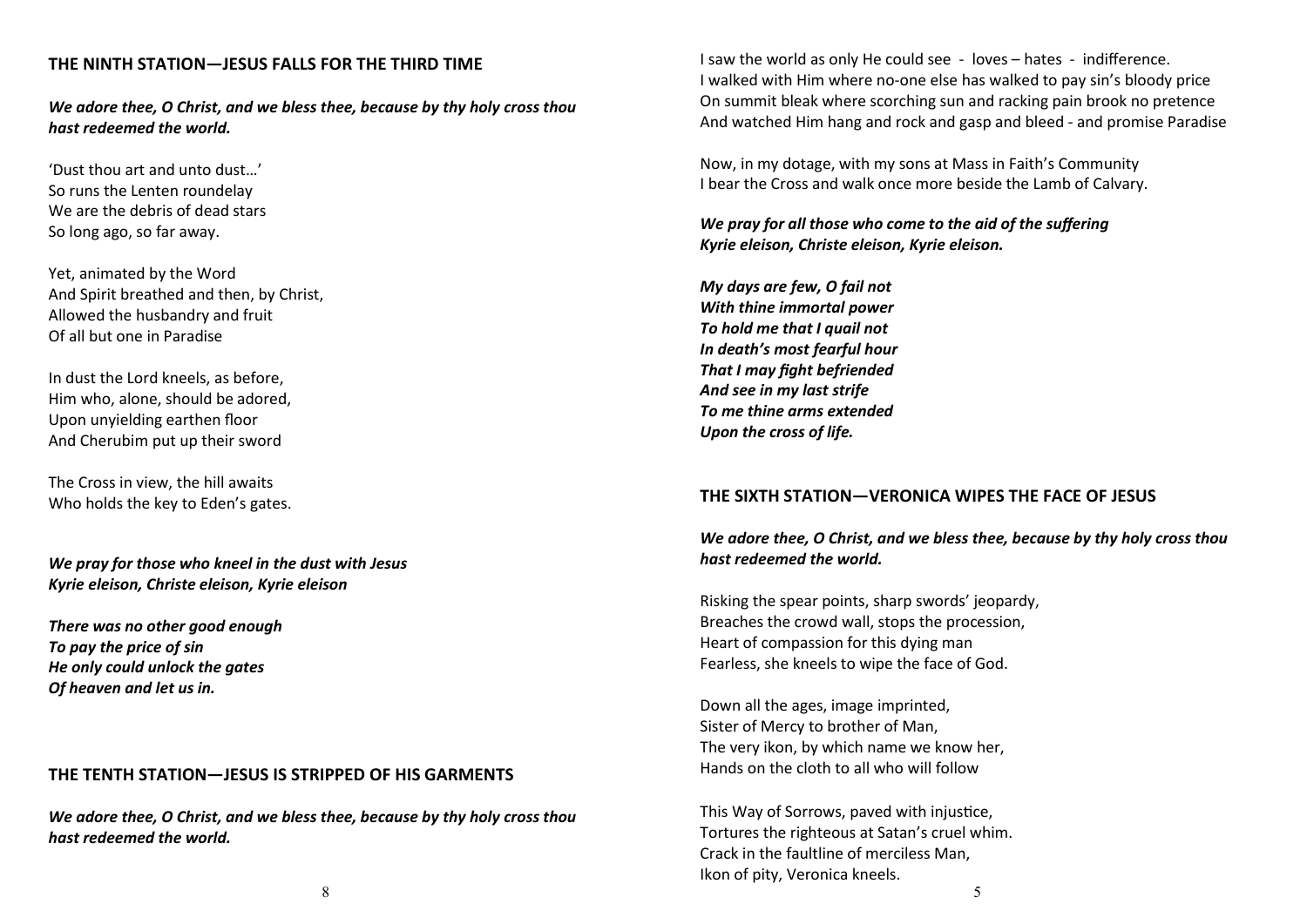## **THE NINTH STATION—JESUS FALLS FOR THE THIRD TIME**

*We adore thee, O Christ, and we bless thee, because by thy holy cross thou hast redeemed the world.*

'Dust thou art and unto dust…' So runs the Lenten roundelay We are the debris of dead stars So long ago, so far away.

Yet, animated by the Word And Spirit breathed and then, by Christ, Allowed the husbandry and fruit Of all but one in Paradise

In dust the Lord kneels, as before, Him who, alone, should be adored, Upon unyielding earthen floor And Cherubim put up their sword

The Cross in view, the hill awaits Who holds the key to Eden's gates.

*We pray for those who kneel in the dust with Jesus Kyrie eleison, Christe eleison, Kyrie eleison*

*There was no other good enough To pay the price of sin He only could unlock the gates Of heaven and let us in.*

#### **THE TENTH STATION—JESUS IS STRIPPED OF HIS GARMENTS**

*We adore thee, O Christ, and we bless thee, because by thy holy cross thou hast redeemed the world.*

I saw the world as only He could see - loves – hates - indifference. I walked with Him where no-one else has walked to pay sin's bloody price On summit bleak where scorching sun and racking pain brook no pretence And watched Him hang and rock and gasp and bleed - and promise Paradise

Now, in my dotage, with my sons at Mass in Faith's Community I bear the Cross and walk once more beside the Lamb of Calvary.

*We pray for all those who come to the aid of the suffering Kyrie eleison, Christe eleison, Kyrie eleison.*

*My days are few, O fail not With thine immortal power To hold me that I quail not In death's most fearful hour That I may fight befriended And see in my last strife To me thine arms extended Upon the cross of life.*

#### **THE SIXTH STATION—VERONICA WIPES THE FACE OF JESUS**

## *We adore thee, O Christ, and we bless thee, because by thy holy cross thou hast redeemed the world.*

Risking the spear points, sharp swords' jeopardy, Breaches the crowd wall, stops the procession, Heart of compassion for this dying man Fearless, she kneels to wipe the face of God.

Down all the ages, image imprinted, Sister of Mercy to brother of Man, The very ikon, by which name we know her, Hands on the cloth to all who will follow

This Way of Sorrows, paved with injustice, Tortures the righteous at Satan's cruel whim. Crack in the faultline of merciless Man, Ikon of pity, Veronica kneels.